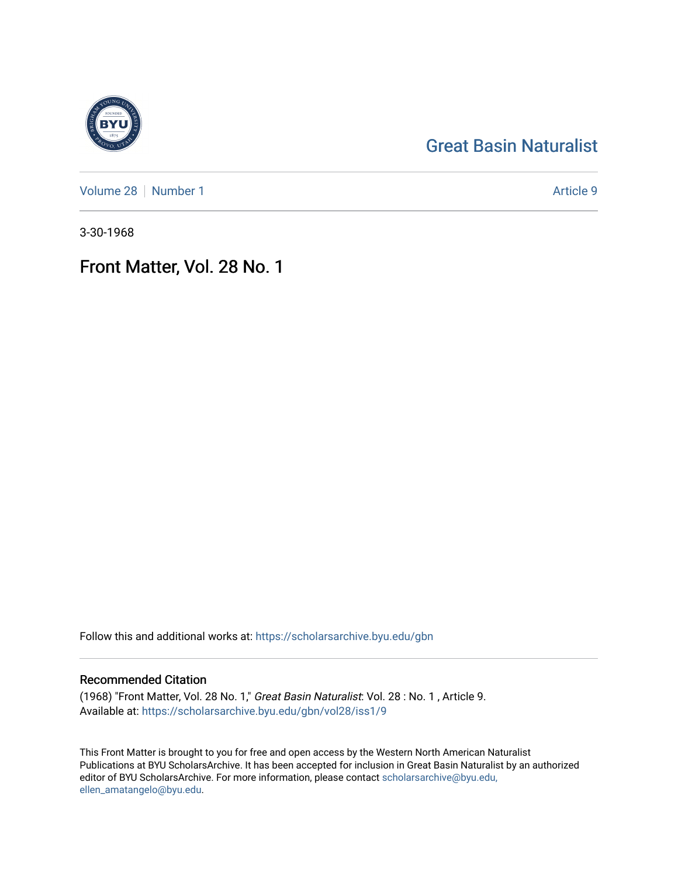## [Great Basin Naturalist](https://scholarsarchive.byu.edu/gbn)

[Volume 28](https://scholarsarchive.byu.edu/gbn/vol28) [Number 1](https://scholarsarchive.byu.edu/gbn/vol28/iss1) Article 9

3-30-1968

## Front Matter, Vol. 28 No. 1

Follow this and additional works at: [https://scholarsarchive.byu.edu/gbn](https://scholarsarchive.byu.edu/gbn?utm_source=scholarsarchive.byu.edu%2Fgbn%2Fvol28%2Fiss1%2F9&utm_medium=PDF&utm_campaign=PDFCoverPages) 

### Recommended Citation

(1968) "Front Matter, Vol. 28 No. 1," Great Basin Naturalist: Vol. 28 : No. 1 , Article 9. Available at: [https://scholarsarchive.byu.edu/gbn/vol28/iss1/9](https://scholarsarchive.byu.edu/gbn/vol28/iss1/9?utm_source=scholarsarchive.byu.edu%2Fgbn%2Fvol28%2Fiss1%2F9&utm_medium=PDF&utm_campaign=PDFCoverPages)

This Front Matter is brought to you for free and open access by the Western North American Naturalist Publications at BYU ScholarsArchive. It has been accepted for inclusion in Great Basin Naturalist by an authorized editor of BYU ScholarsArchive. For more information, please contact [scholarsarchive@byu.edu,](mailto:scholarsarchive@byu.edu,%20ellen_amatangelo@byu.edu) [ellen\\_amatangelo@byu.edu](mailto:scholarsarchive@byu.edu,%20ellen_amatangelo@byu.edu).

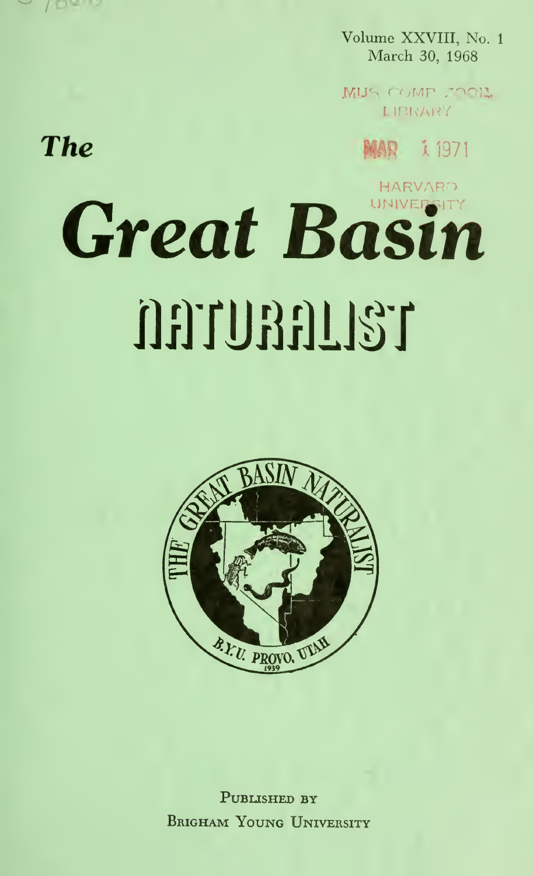

Volume XXVIII, No. 1 March 30, 1968

MIJS COMP FOOIL **LIBRARY** 

MAR 1971

# **The**

# HARVARD Great Basin OFTURFILIST



PUBLISHED BY **BRIGHAM YOUNG UNIVERSITY**